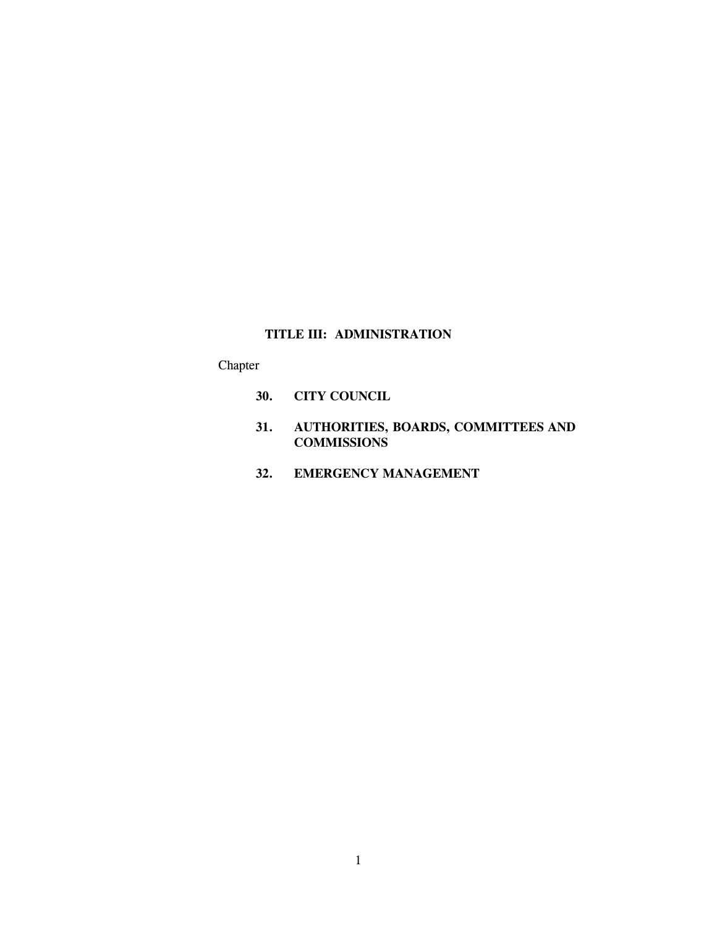# **TITLE III: ADMINISTRATION**

# Chapter

- **30. CITY COUNCIL**
- **31. AUTHORITIES, BOARDS, COMMITTEES AND COMMISSIONS**
- **32. EMERGENCY MANAGEMENT**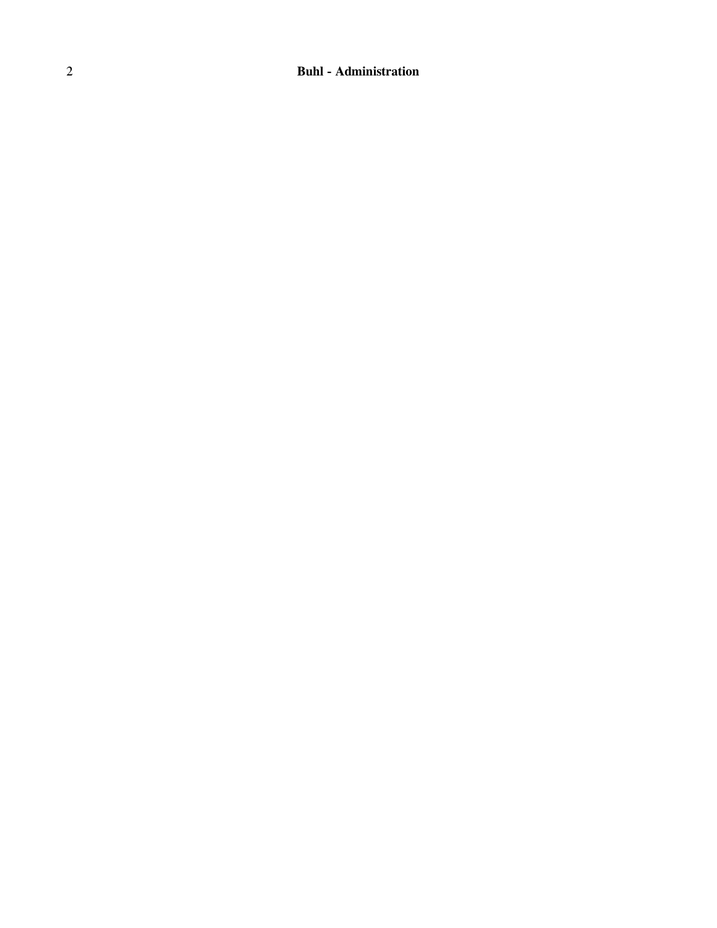**Buhl - Administration**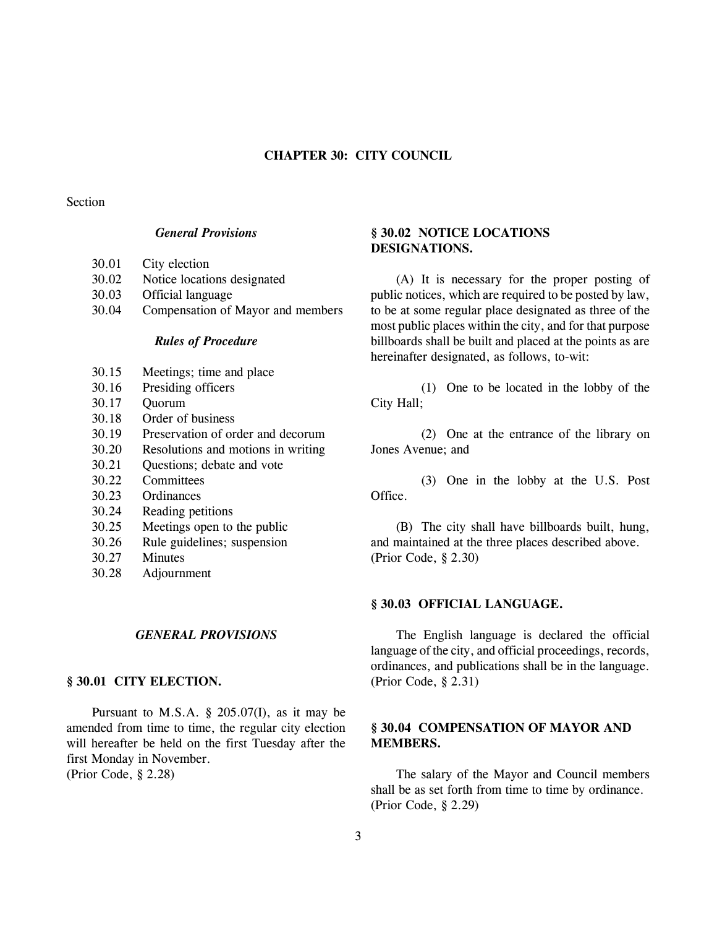### **CHAPTER 30: CITY COUNCIL**

### Section

## *General Provisions*

- 30.01 City election
- 30.02 Notice locations designated
- 30.03 Official language
- 30.04 Compensation of Mayor and members

#### *Rules of Procedure*

- 30.15 Meetings; time and place
- 30.16 Presiding officers
- 30.17 Quorum
- 30.18 Order of business
- 30.19 Preservation of order and decorum
- 30.20 Resolutions and motions in writing
- 30.21 Questions; debate and vote
- 30.22 Committees
- 30.23 Ordinances
- 30.24 Reading petitions
- 30.25 Meetings open to the public
- 30.26 Rule guidelines; suspension
- 30.27 Minutes
- 30.28 Adjournment

#### *GENERAL PROVISIONS*

### **§ 30.01 CITY ELECTION.**

Pursuant to M.S.A. § 205.07(I), as it may be amended from time to time, the regular city election will hereafter be held on the first Tuesday after the first Monday in November.

(Prior Code, § 2.28)

# **§ 30.02 NOTICE LOCATIONS DESIGNATIONS.**

(A) It is necessary for the proper posting of public notices, which are required to be posted by law, to be at some regular place designated as three of the most public places within the city, and for that purpose billboards shall be built and placed at the points as are hereinafter designated, as follows, to-wit:

(1) One to be located in the lobby of the City Hall;

(2) One at the entrance of the library on Jones Avenue; and

(3) One in the lobby at the U.S. Post Office.

(B) The city shall have billboards built, hung, and maintained at the three places described above. (Prior Code, § 2.30)

#### **§ 30.03 OFFICIAL LANGUAGE.**

The English language is declared the official language of the city, and official proceedings, records, ordinances, and publications shall be in the language. (Prior Code, § 2.31)

# **§ 30.04 COMPENSATION OF MAYOR AND MEMBERS.**

The salary of the Mayor and Council members shall be as set forth from time to time by ordinance. (Prior Code, § 2.29)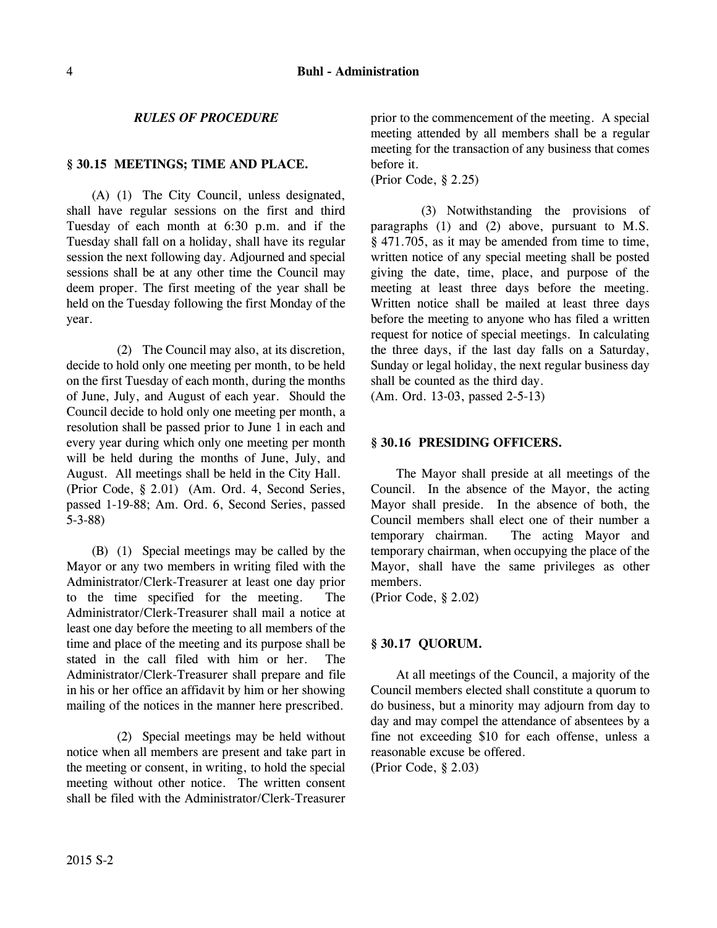#### *RULES OF PROCEDURE*

#### **§ 30.15 MEETINGS; TIME AND PLACE.**

(A) (1) The City Council, unless designated, shall have regular sessions on the first and third Tuesday of each month at 6:30 p.m. and if the Tuesday shall fall on a holiday, shall have its regular session the next following day. Adjourned and special sessions shall be at any other time the Council may deem proper. The first meeting of the year shall be held on the Tuesday following the first Monday of the year.

(2) The Council may also, at its discretion, decide to hold only one meeting per month, to be held on the first Tuesday of each month, during the months of June, July, and August of each year. Should the Council decide to hold only one meeting per month, a resolution shall be passed prior to June 1 in each and every year during which only one meeting per month will be held during the months of June, July, and August. All meetings shall be held in the City Hall. (Prior Code, § 2.01) (Am. Ord. 4, Second Series, passed 1-19-88; Am. Ord. 6, Second Series, passed 5-3-88)

(B) (1) Special meetings may be called by the Mayor or any two members in writing filed with the Administrator/Clerk-Treasurer at least one day prior to the time specified for the meeting. The Administrator/Clerk-Treasurer shall mail a notice at least one day before the meeting to all members of the time and place of the meeting and its purpose shall be stated in the call filed with him or her. Administrator/Clerk-Treasurer shall prepare and file in his or her office an affidavit by him or her showing mailing of the notices in the manner here prescribed.

(2) Special meetings may be held without notice when all members are present and take part in the meeting or consent, in writing, to hold the special meeting without other notice. The written consent shall be filed with the Administrator/Clerk-Treasurer prior to the commencement of the meeting. A special meeting attended by all members shall be a regular meeting for the transaction of any business that comes before it.

(Prior Code, § 2.25)

(3) Notwithstanding the provisions of paragraphs (1) and (2) above, pursuant to M.S. § 471.705, as it may be amended from time to time, written notice of any special meeting shall be posted giving the date, time, place, and purpose of the meeting at least three days before the meeting. Written notice shall be mailed at least three days before the meeting to anyone who has filed a written request for notice of special meetings. In calculating the three days, if the last day falls on a Saturday, Sunday or legal holiday, the next regular business day shall be counted as the third day.

(Am. Ord. 13-03, passed 2-5-13)

#### **§ 30.16 PRESIDING OFFICERS.**

The Mayor shall preside at all meetings of the Council. In the absence of the Mayor, the acting Mayor shall preside. In the absence of both, the Council members shall elect one of their number a temporary chairman. The acting Mayor and temporary chairman, when occupying the place of the Mayor, shall have the same privileges as other members.

(Prior Code, § 2.02)

## **§ 30.17 QUORUM.**

At all meetings of the Council, a majority of the Council members elected shall constitute a quorum to do business, but a minority may adjourn from day to day and may compel the attendance of absentees by a fine not exceeding \$10 for each offense, unless a reasonable excuse be offered. (Prior Code, § 2.03)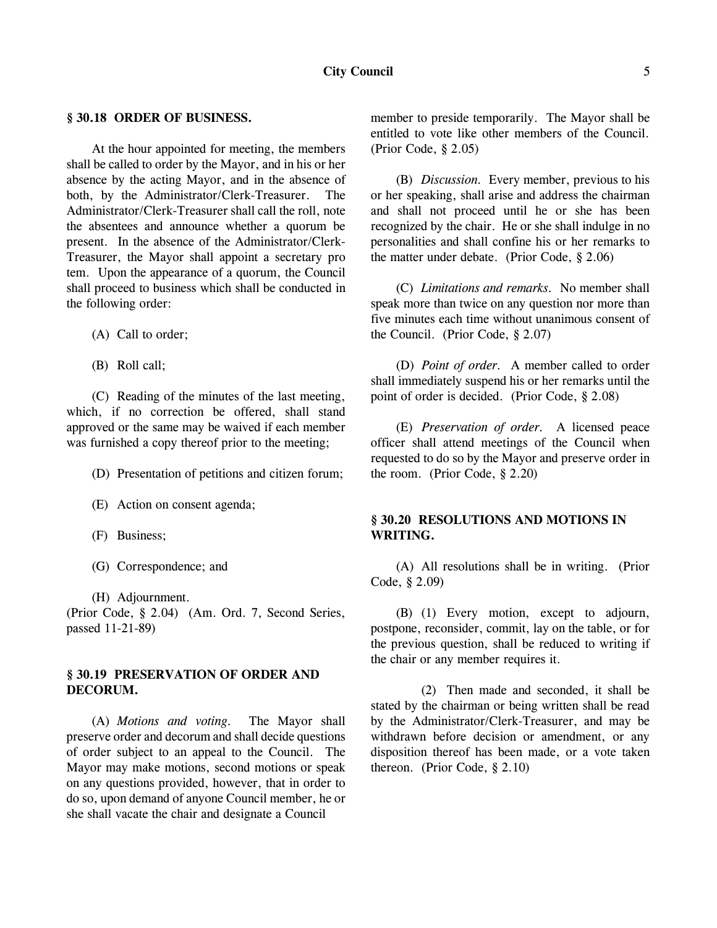#### **City Council** 5

#### **§ 30.18 ORDER OF BUSINESS.**

At the hour appointed for meeting, the members shall be called to order by the Mayor, and in his or her absence by the acting Mayor, and in the absence of both, by the Administrator/Clerk-Treasurer. The Administrator/Clerk-Treasurer shall call the roll, note the absentees and announce whether a quorum be present. In the absence of the Administrator/Clerk-Treasurer, the Mayor shall appoint a secretary pro tem. Upon the appearance of a quorum, the Council shall proceed to business which shall be conducted in the following order:

- (A) Call to order;
- (B) Roll call;

(C) Reading of the minutes of the last meeting, which, if no correction be offered, shall stand approved or the same may be waived if each member was furnished a copy thereof prior to the meeting;

- (D) Presentation of petitions and citizen forum;
- (E) Action on consent agenda;
- (F) Business;
- (G) Correspondence; and
- (H) Adjournment.

(Prior Code, § 2.04) (Am. Ord. 7, Second Series, passed 11-21-89)

# **§ 30.19 PRESERVATION OF ORDER AND DECORUM.**

(A) *Motions and voting.* The Mayor shall preserve order and decorum and shall decide questions of order subject to an appeal to the Council. The Mayor may make motions, second motions or speak on any questions provided, however, that in order to do so, upon demand of anyone Council member, he or she shall vacate the chair and designate a Council

member to preside temporarily. The Mayor shall be entitled to vote like other members of the Council. (Prior Code, § 2.05)

(B) *Discussion.* Every member, previous to his or her speaking, shall arise and address the chairman and shall not proceed until he or she has been recognized by the chair. He or she shall indulge in no personalities and shall confine his or her remarks to the matter under debate. (Prior Code, § 2.06)

(C) *Limitations and remarks.* No member shall speak more than twice on any question nor more than five minutes each time without unanimous consent of the Council. (Prior Code, § 2.07)

(D) *Point of order.* A member called to order shall immediately suspend his or her remarks until the point of order is decided. (Prior Code, § 2.08)

(E) *Preservation of order.* A licensed peace officer shall attend meetings of the Council when requested to do so by the Mayor and preserve order in the room. (Prior Code, § 2.20)

# **§ 30.20 RESOLUTIONS AND MOTIONS IN WRITING.**

(A) All resolutions shall be in writing. (Prior Code, § 2.09)

(B) (1) Every motion, except to adjourn, postpone, reconsider, commit, lay on the table, or for the previous question, shall be reduced to writing if the chair or any member requires it.

(2) Then made and seconded, it shall be stated by the chairman or being written shall be read by the Administrator/Clerk-Treasurer, and may be withdrawn before decision or amendment, or any disposition thereof has been made, or a vote taken thereon. (Prior Code, § 2.10)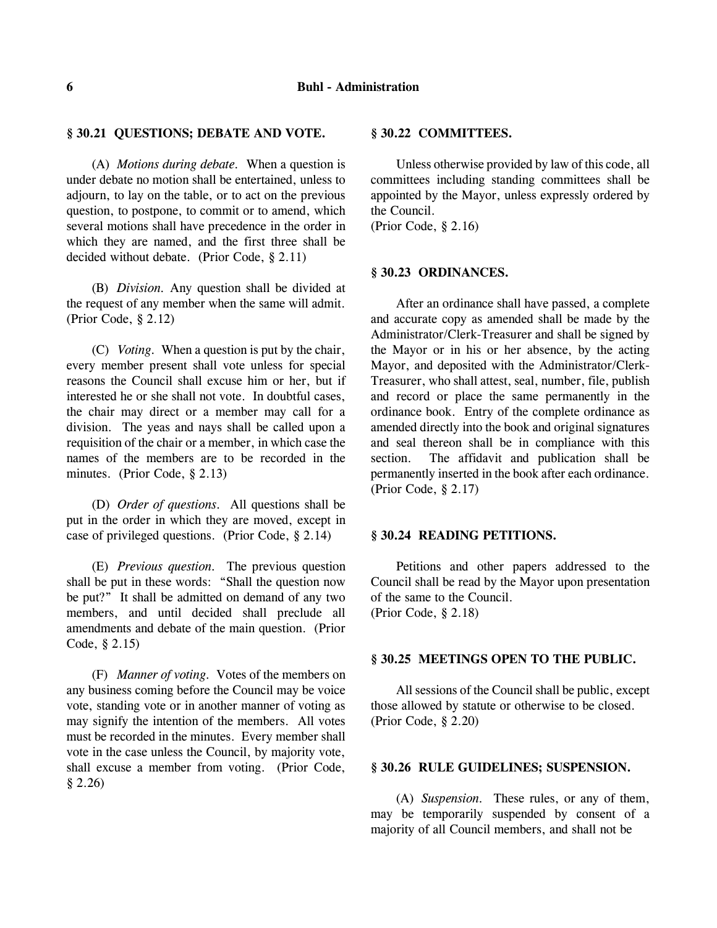### **§ 30.21 QUESTIONS; DEBATE AND VOTE.**

(A) *Motions during debate.* When a question is under debate no motion shall be entertained, unless to adjourn, to lay on the table, or to act on the previous question, to postpone, to commit or to amend, which several motions shall have precedence in the order in which they are named, and the first three shall be decided without debate. (Prior Code, § 2.11)

(B) *Division.* Any question shall be divided at the request of any member when the same will admit. (Prior Code, § 2.12)

(C) *Voting.* When a question is put by the chair, every member present shall vote unless for special reasons the Council shall excuse him or her, but if interested he or she shall not vote. In doubtful cases, the chair may direct or a member may call for a division. The yeas and nays shall be called upon a requisition of the chair or a member, in which case the names of the members are to be recorded in the minutes. (Prior Code, § 2.13)

(D) *Order of questions.* All questions shall be put in the order in which they are moved, except in case of privileged questions. (Prior Code, § 2.14)

(E) *Previous question.* The previous question shall be put in these words: "Shall the question now be put?" It shall be admitted on demand of any two members, and until decided shall preclude all amendments and debate of the main question. (Prior Code, § 2.15)

(F) *Manner of voting.* Votes of the members on any business coming before the Council may be voice vote, standing vote or in another manner of voting as may signify the intention of the members. All votes must be recorded in the minutes. Every member shall vote in the case unless the Council, by majority vote, shall excuse a member from voting. (Prior Code, § 2.26)

### **§ 30.22 COMMITTEES.**

Unless otherwise provided by law of this code, all committees including standing committees shall be appointed by the Mayor, unless expressly ordered by the Council.

(Prior Code, § 2.16)

#### **§ 30.23 ORDINANCES.**

After an ordinance shall have passed, a complete and accurate copy as amended shall be made by the Administrator/Clerk-Treasurer and shall be signed by the Mayor or in his or her absence, by the acting Mayor, and deposited with the Administrator/Clerk-Treasurer, who shall attest, seal, number, file, publish and record or place the same permanently in the ordinance book. Entry of the complete ordinance as amended directly into the book and original signatures and seal thereon shall be in compliance with this section. The affidavit and publication shall be permanently inserted in the book after each ordinance. (Prior Code, § 2.17)

#### **§ 30.24 READING PETITIONS.**

Petitions and other papers addressed to the Council shall be read by the Mayor upon presentation of the same to the Council. (Prior Code, § 2.18)

#### **§ 30.25 MEETINGS OPEN TO THE PUBLIC.**

All sessions of the Council shall be public, except those allowed by statute or otherwise to be closed. (Prior Code, § 2.20)

#### **§ 30.26 RULE GUIDELINES; SUSPENSION.**

(A) *Suspension.* These rules, or any of them, may be temporarily suspended by consent of a majority of all Council members, and shall not be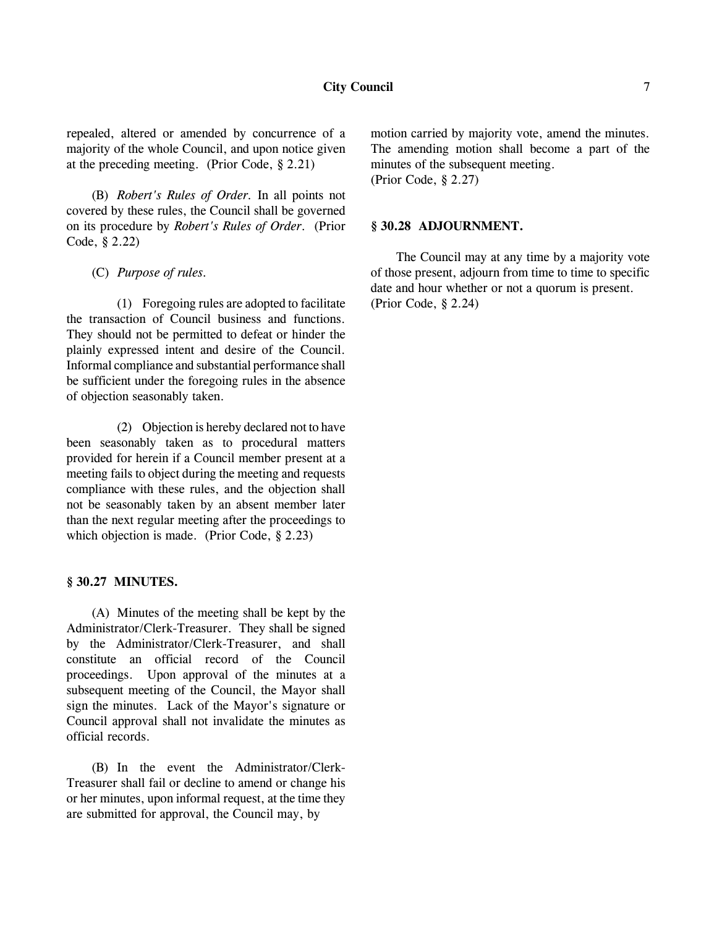### **City Council** 7

repealed, altered or amended by concurrence of a majority of the whole Council, and upon notice given at the preceding meeting. (Prior Code, § 2.21)

(B) *Robert's Rules of Order.* In all points not covered by these rules, the Council shall be governed on its procedure by *Robert's Rules of Order*. (Prior Code, § 2.22)

(C) *Purpose of rules.*

(1) Foregoing rules are adopted to facilitate the transaction of Council business and functions. They should not be permitted to defeat or hinder the plainly expressed intent and desire of the Council. Informal compliance and substantial performance shall be sufficient under the foregoing rules in the absence of objection seasonably taken.

(2) Objection is hereby declared not to have been seasonably taken as to procedural matters provided for herein if a Council member present at a meeting fails to object during the meeting and requests compliance with these rules, and the objection shall not be seasonably taken by an absent member later than the next regular meeting after the proceedings to which objection is made. (Prior Code, § 2.23)

#### **§ 30.27 MINUTES.**

(A) Minutes of the meeting shall be kept by the Administrator/Clerk-Treasurer. They shall be signed by the Administrator/Clerk-Treasurer, and shall constitute an official record of the Council proceedings. Upon approval of the minutes at a subsequent meeting of the Council, the Mayor shall sign the minutes. Lack of the Mayor's signature or Council approval shall not invalidate the minutes as official records.

(B) In the event the Administrator/Clerk-Treasurer shall fail or decline to amend or change his or her minutes, upon informal request, at the time they are submitted for approval, the Council may, by

motion carried by majority vote, amend the minutes. The amending motion shall become a part of the minutes of the subsequent meeting. (Prior Code, § 2.27)

#### **§ 30.28 ADJOURNMENT.**

The Council may at any time by a majority vote of those present, adjourn from time to time to specific date and hour whether or not a quorum is present. (Prior Code, § 2.24)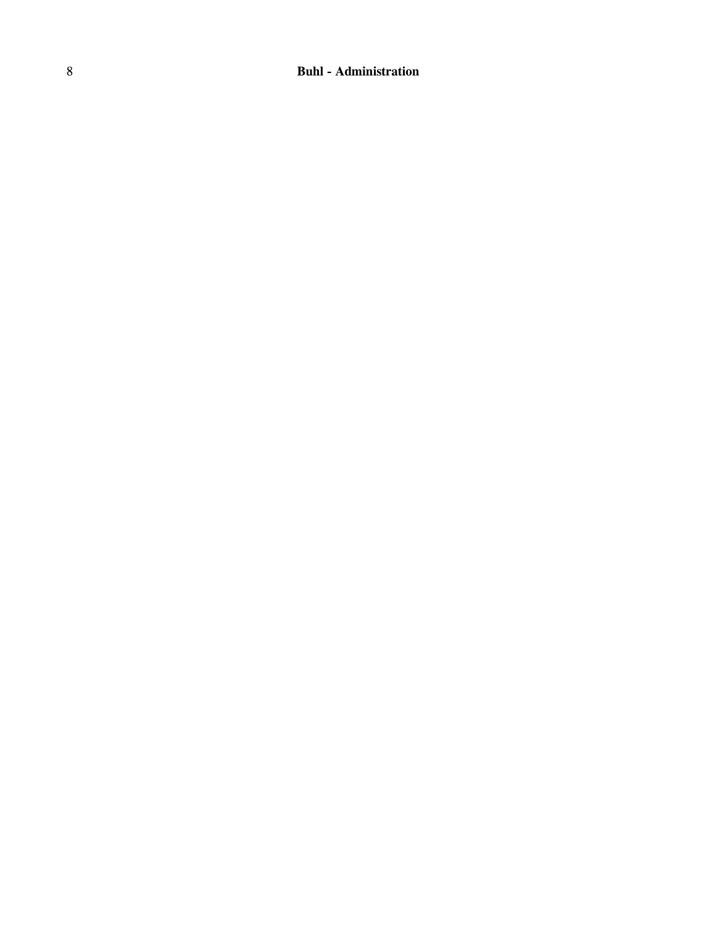**Buhl - Administration**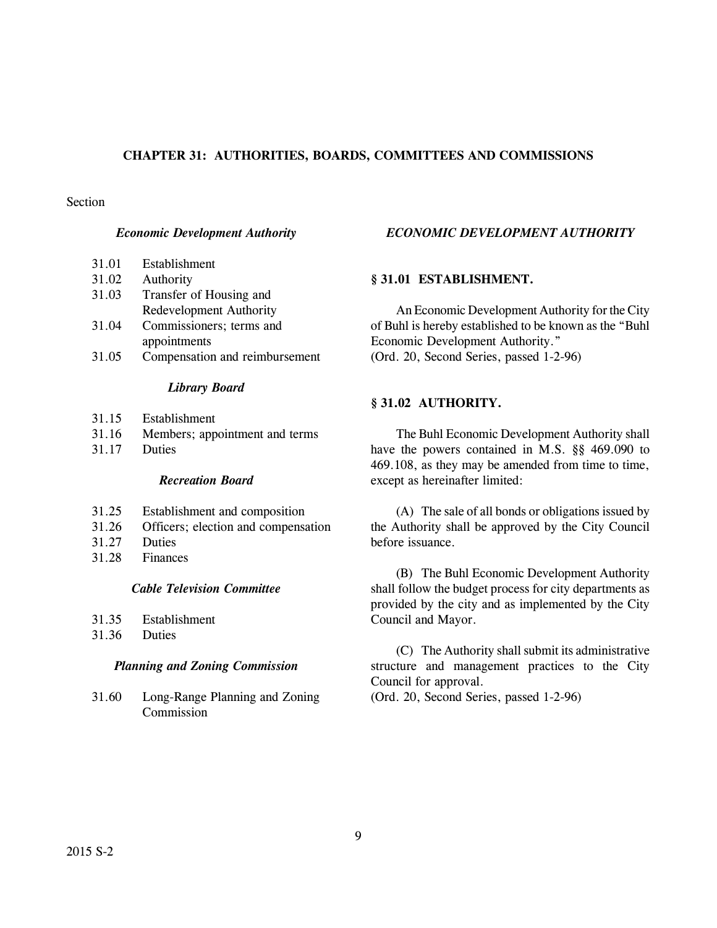# **CHAPTER 31: AUTHORITIES, BOARDS, COMMITTEES AND COMMISSIONS**

## Section

#### *Economic Development Authority*

| 31.01 | Establishment                  |
|-------|--------------------------------|
| 31.02 | Authority                      |
| 31.03 | Transfer of Housing and        |
|       | <b>Redevelopment Authority</b> |
| 31.04 | Commissioners; terms and       |

appointments 31.05 Compensation and reimbursement

### *Library Board*

- 31.15 Establishment
- 31.16 Members; appointment and terms
- 31.17 Duties

#### *Recreation Board*

- 31.25 Establishment and composition
- 31.26 Officers; election and compensation
- 31.27 Duties
- 31.28 Finances

## *Cable Television Committee*

- 31.35 Establishment
- 31.36 Duties

#### *Planning and Zoning Commission*

31.60 Long-Range Planning and Zoning Commission

### *ECONOMIC DEVELOPMENT AUTHORITY*

### **§ 31.01 ESTABLISHMENT.**

An Economic Development Authority for the City of Buhl is hereby established to be known as the "Buhl Economic Development Authority." (Ord. 20, Second Series, passed 1-2-96)

### **§ 31.02 AUTHORITY.**

The Buhl Economic Development Authority shall have the powers contained in M.S. §§ 469.090 to 469.108, as they may be amended from time to time, except as hereinafter limited:

(A) The sale of all bonds or obligations issued by the Authority shall be approved by the City Council before issuance.

(B) The Buhl Economic Development Authority shall follow the budget process for city departments as provided by the city and as implemented by the City Council and Mayor.

(C) The Authority shall submit its administrative structure and management practices to the City Council for approval.

(Ord. 20, Second Series, passed 1-2-96)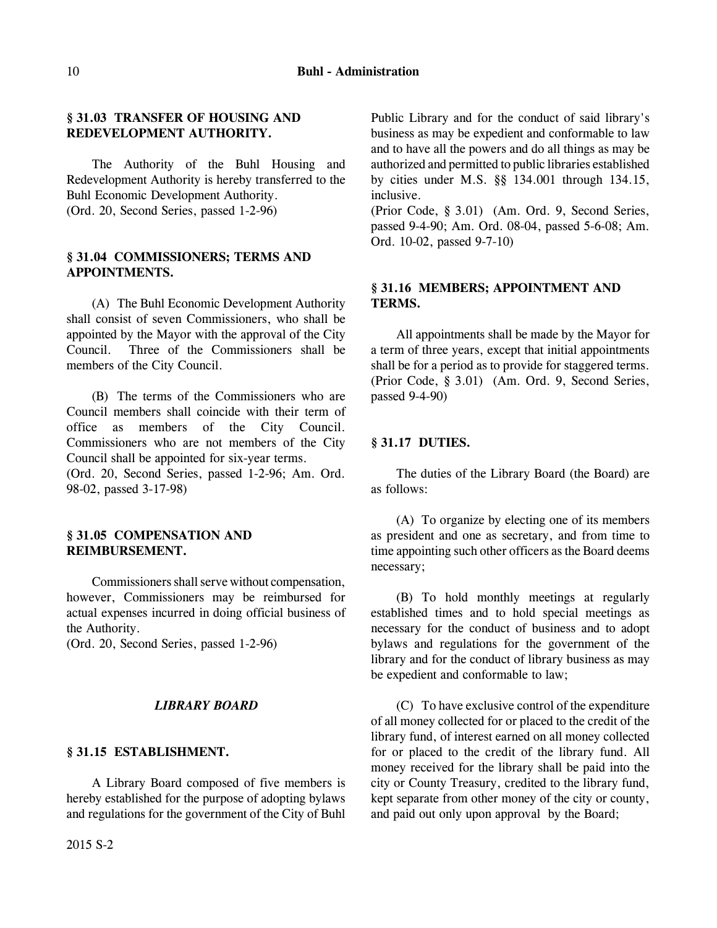### **§ 31.03 TRANSFER OF HOUSING AND REDEVELOPMENT AUTHORITY.**

The Authority of the Buhl Housing and Redevelopment Authority is hereby transferred to the Buhl Economic Development Authority. (Ord. 20, Second Series, passed 1-2-96)

# **§ 31.04 COMMISSIONERS; TERMS AND APPOINTMENTS.**

(A) The Buhl Economic Development Authority shall consist of seven Commissioners, who shall be appointed by the Mayor with the approval of the City Council. Three of the Commissioners shall be members of the City Council.

(B) The terms of the Commissioners who are Council members shall coincide with their term of office as members of the City Council. Commissioners who are not members of the City Council shall be appointed for six-year terms.

(Ord. 20, Second Series, passed 1-2-96; Am. Ord. 98-02, passed 3-17-98)

# **§ 31.05 COMPENSATION AND REIMBURSEMENT.**

Commissioners shall serve without compensation, however, Commissioners may be reimbursed for actual expenses incurred in doing official business of the Authority.

(Ord. 20, Second Series, passed 1-2-96)

### *LIBRARY BOARD*

### **§ 31.15 ESTABLISHMENT.**

A Library Board composed of five members is hereby established for the purpose of adopting bylaws and regulations for the government of the City of Buhl Public Library and for the conduct of said library's business as may be expedient and conformable to law and to have all the powers and do all things as may be authorized and permitted to public libraries established by cities under M.S. §§ 134.001 through 134.15, inclusive.

(Prior Code, § 3.01) (Am. Ord. 9, Second Series, passed 9-4-90; Am. Ord. 08-04, passed 5-6-08; Am. Ord. 10-02, passed 9-7-10)

# **§ 31.16 MEMBERS; APPOINTMENT AND TERMS.**

All appointments shall be made by the Mayor for a term of three years, except that initial appointments shall be for a period as to provide for staggered terms. (Prior Code, § 3.01) (Am. Ord. 9, Second Series, passed 9-4-90)

#### **§ 31.17 DUTIES.**

The duties of the Library Board (the Board) are as follows:

(A) To organize by electing one of its members as president and one as secretary, and from time to time appointing such other officers as the Board deems necessary;

(B) To hold monthly meetings at regularly established times and to hold special meetings as necessary for the conduct of business and to adopt bylaws and regulations for the government of the library and for the conduct of library business as may be expedient and conformable to law;

(C) To have exclusive control of the expenditure of all money collected for or placed to the credit of the library fund, of interest earned on all money collected for or placed to the credit of the library fund. All money received for the library shall be paid into the city or County Treasury, credited to the library fund, kept separate from other money of the city or county, and paid out only upon approval by the Board;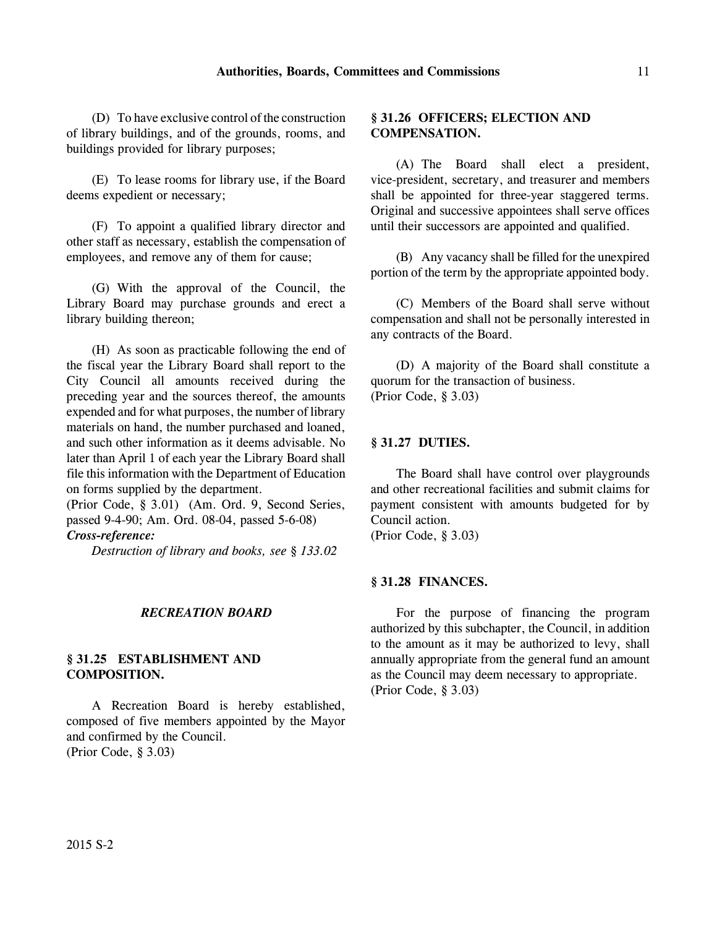(D) To have exclusive control of the construction of library buildings, and of the grounds, rooms, and buildings provided for library purposes;

(E) To lease rooms for library use, if the Board deems expedient or necessary;

(F) To appoint a qualified library director and other staff as necessary, establish the compensation of employees, and remove any of them for cause;

(G) With the approval of the Council, the Library Board may purchase grounds and erect a library building thereon;

(H) As soon as practicable following the end of the fiscal year the Library Board shall report to the City Council all amounts received during the preceding year and the sources thereof, the amounts expended and for what purposes, the number of library materials on hand, the number purchased and loaned, and such other information as it deems advisable. No later than April 1 of each year the Library Board shall file this information with the Department of Education on forms supplied by the department.

(Prior Code, § 3.01) (Am. Ord. 9, Second Series, passed 9-4-90; Am. Ord. 08-04, passed 5-6-08) *Cross-reference:*

*Destruction of library and books, see § 133.02*

#### *RECREATION BOARD*

### **§ 31.25 ESTABLISHMENT AND COMPOSITION.**

A Recreation Board is hereby established, composed of five members appointed by the Mayor and confirmed by the Council. (Prior Code, § 3.03)

### **§ 31.26 OFFICERS; ELECTION AND COMPENSATION.**

(A) The Board shall elect a president, vice-president, secretary, and treasurer and members shall be appointed for three-year staggered terms. Original and successive appointees shall serve offices until their successors are appointed and qualified.

(B) Any vacancy shall be filled for the unexpired portion of the term by the appropriate appointed body.

(C) Members of the Board shall serve without compensation and shall not be personally interested in any contracts of the Board.

(D) A majority of the Board shall constitute a quorum for the transaction of business. (Prior Code, § 3.03)

#### **§ 31.27 DUTIES.**

The Board shall have control over playgrounds and other recreational facilities and submit claims for payment consistent with amounts budgeted for by Council action.

(Prior Code, § 3.03)

### **§ 31.28 FINANCES.**

For the purpose of financing the program authorized by this subchapter, the Council, in addition to the amount as it may be authorized to levy, shall annually appropriate from the general fund an amount as the Council may deem necessary to appropriate. (Prior Code, § 3.03)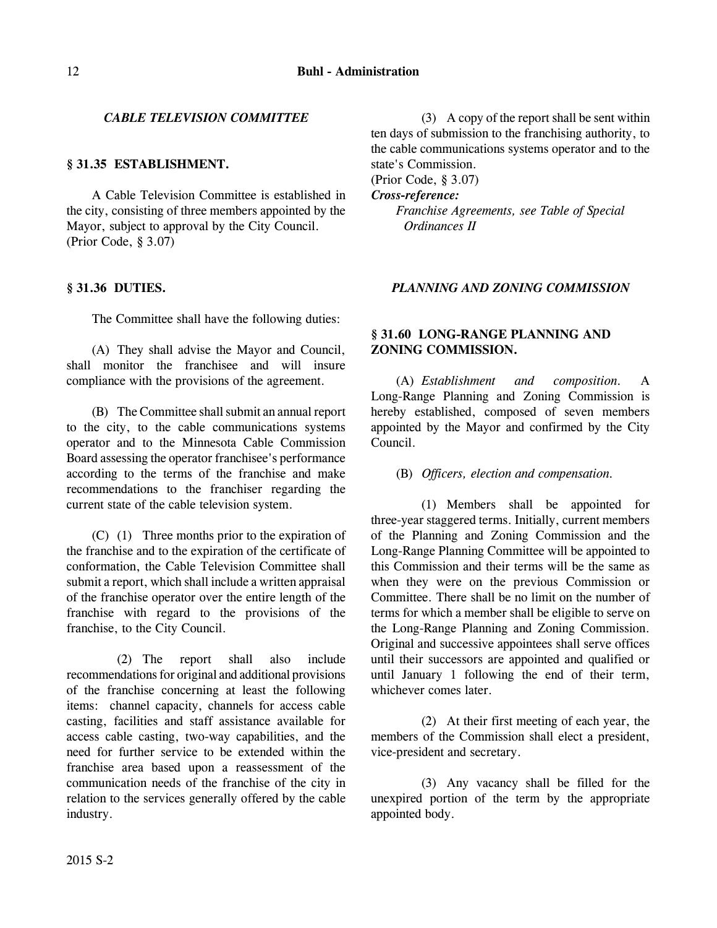# *CABLE TELEVISION COMMITTEE*

## **§ 31.35 ESTABLISHMENT.**

A Cable Television Committee is established in the city, consisting of three members appointed by the Mayor, subject to approval by the City Council. (Prior Code, § 3.07)

## **§ 31.36 DUTIES.**

The Committee shall have the following duties:

(A) They shall advise the Mayor and Council, shall monitor the franchisee and will insure compliance with the provisions of the agreement.

(B) The Committee shall submit an annual report to the city, to the cable communications systems operator and to the Minnesota Cable Commission Board assessing the operator franchisee's performance according to the terms of the franchise and make recommendations to the franchiser regarding the current state of the cable television system.

(C) (1) Three months prior to the expiration of the franchise and to the expiration of the certificate of conformation, the Cable Television Committee shall submit a report, which shall include a written appraisal of the franchise operator over the entire length of the franchise with regard to the provisions of the franchise, to the City Council.

(2) The report shall also include recommendations for original and additional provisions of the franchise concerning at least the following items: channel capacity, channels for access cable casting, facilities and staff assistance available for access cable casting, two-way capabilities, and the need for further service to be extended within the franchise area based upon a reassessment of the communication needs of the franchise of the city in relation to the services generally offered by the cable industry.

(3) A copy of the report shall be sent within ten days of submission to the franchising authority, to the cable communications systems operator and to the state's Commission.

(Prior Code, § 3.07)

*Cross-reference:*

*Franchise Agreements, see Table of Special Ordinances II*

#### *PLANNING AND ZONING COMMISSION*

# **§ 31.60 LONG-RANGE PLANNING AND ZONING COMMISSION.**

(A) *Establishment and composition.* A Long-Range Planning and Zoning Commission is hereby established, composed of seven members appointed by the Mayor and confirmed by the City Council.

(B) *Officers, election and compensation.*

(1) Members shall be appointed for three-year staggered terms. Initially, current members of the Planning and Zoning Commission and the Long-Range Planning Committee will be appointed to this Commission and their terms will be the same as when they were on the previous Commission or Committee. There shall be no limit on the number of terms for which a member shall be eligible to serve on the Long-Range Planning and Zoning Commission. Original and successive appointees shall serve offices until their successors are appointed and qualified or until January 1 following the end of their term, whichever comes later.

(2) At their first meeting of each year, the members of the Commission shall elect a president, vice-president and secretary.

(3) Any vacancy shall be filled for the unexpired portion of the term by the appropriate appointed body.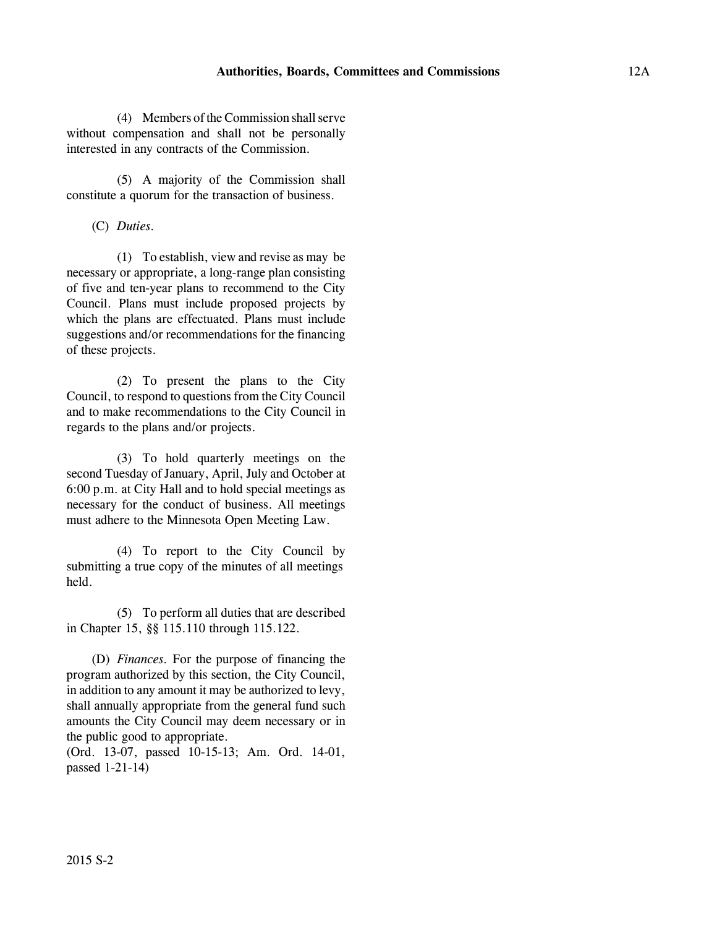(4) Members of the Commission shall serve without compensation and shall not be personally interested in any contracts of the Commission.

(5) A majority of the Commission shall constitute a quorum for the transaction of business.

(C) *Duties.*

(1) To establish, view and revise as may be necessary or appropriate, a long-range plan consisting of five and ten-year plans to recommend to the City Council. Plans must include proposed projects by which the plans are effectuated. Plans must include suggestions and/or recommendations for the financing of these projects.

(2) To present the plans to the City Council, to respond to questions from the City Council and to make recommendations to the City Council in regards to the plans and/or projects.

(3) To hold quarterly meetings on the second Tuesday of January, April, July and October at 6:00 p.m. at City Hall and to hold special meetings as necessary for the conduct of business. All meetings must adhere to the Minnesota Open Meeting Law.

(4) To report to the City Council by submitting a true copy of the minutes of all meetings held.

(5) To perform all duties that are described in Chapter 15, §§ 115.110 through 115.122.

(D) *Finances.* For the purpose of financing the program authorized by this section, the City Council, in addition to any amount it may be authorized to levy, shall annually appropriate from the general fund such amounts the City Council may deem necessary or in the public good to appropriate.

(Ord. 13-07, passed 10-15-13; Am. Ord. 14-01, passed 1-21-14)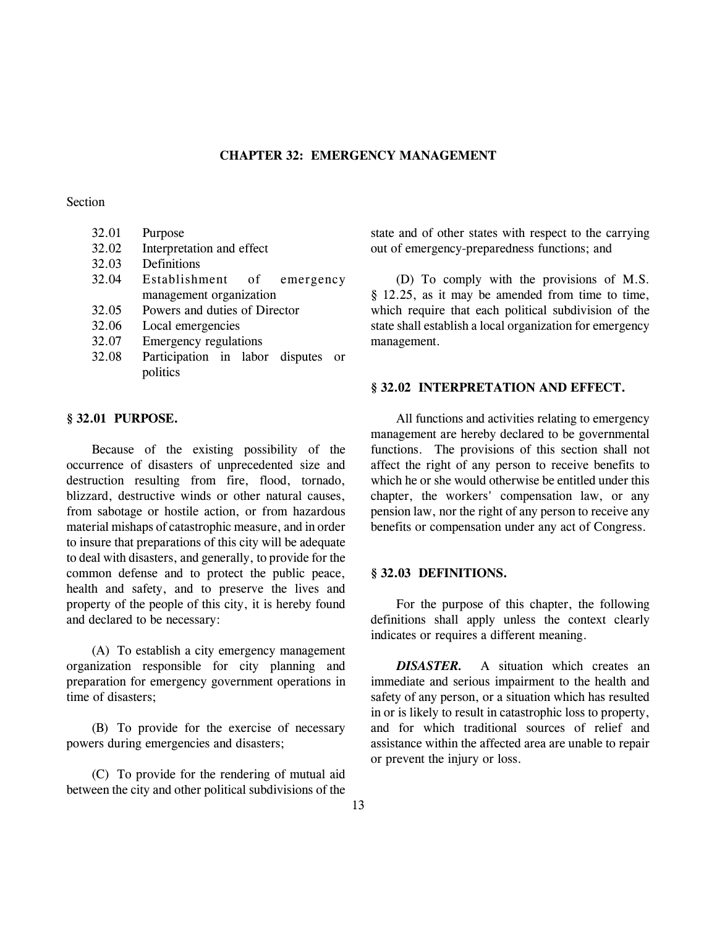### **CHAPTER 32: EMERGENCY MANAGEMENT**

### Section

- 32.01 Purpose
- 32.02 Interpretation and effect
- 32.03 Definitions
- 32.04 Establishment of emergency management organization
- 32.05 Powers and duties of Director
- 32.06 Local emergencies
- 32.07 Emergency regulations
- 32.08 Participation in labor disputes or politics

### **§ 32.01 PURPOSE.**

Because of the existing possibility of the occurrence of disasters of unprecedented size and destruction resulting from fire, flood, tornado, blizzard, destructive winds or other natural causes, from sabotage or hostile action, or from hazardous material mishaps of catastrophic measure, and in order to insure that preparations of this city will be adequate to deal with disasters, and generally, to provide for the common defense and to protect the public peace, health and safety, and to preserve the lives and property of the people of this city, it is hereby found and declared to be necessary:

(A) To establish a city emergency management organization responsible for city planning and preparation for emergency government operations in time of disasters;

(B) To provide for the exercise of necessary powers during emergencies and disasters;

(C) To provide for the rendering of mutual aid between the city and other political subdivisions of the state and of other states with respect to the carrying out of emergency-preparedness functions; and

(D) To comply with the provisions of M.S. § 12.25, as it may be amended from time to time, which require that each political subdivision of the state shall establish a local organization for emergency management.

### **§ 32.02 INTERPRETATION AND EFFECT.**

All functions and activities relating to emergency management are hereby declared to be governmental functions. The provisions of this section shall not affect the right of any person to receive benefits to which he or she would otherwise be entitled under this chapter, the workers' compensation law, or any pension law, nor the right of any person to receive any benefits or compensation under any act of Congress.

### **§ 32.03 DEFINITIONS.**

For the purpose of this chapter, the following definitions shall apply unless the context clearly indicates or requires a different meaning.

*DISASTER.* A situation which creates an immediate and serious impairment to the health and safety of any person, or a situation which has resulted in or is likely to result in catastrophic loss to property, and for which traditional sources of relief and assistance within the affected area are unable to repair or prevent the injury or loss.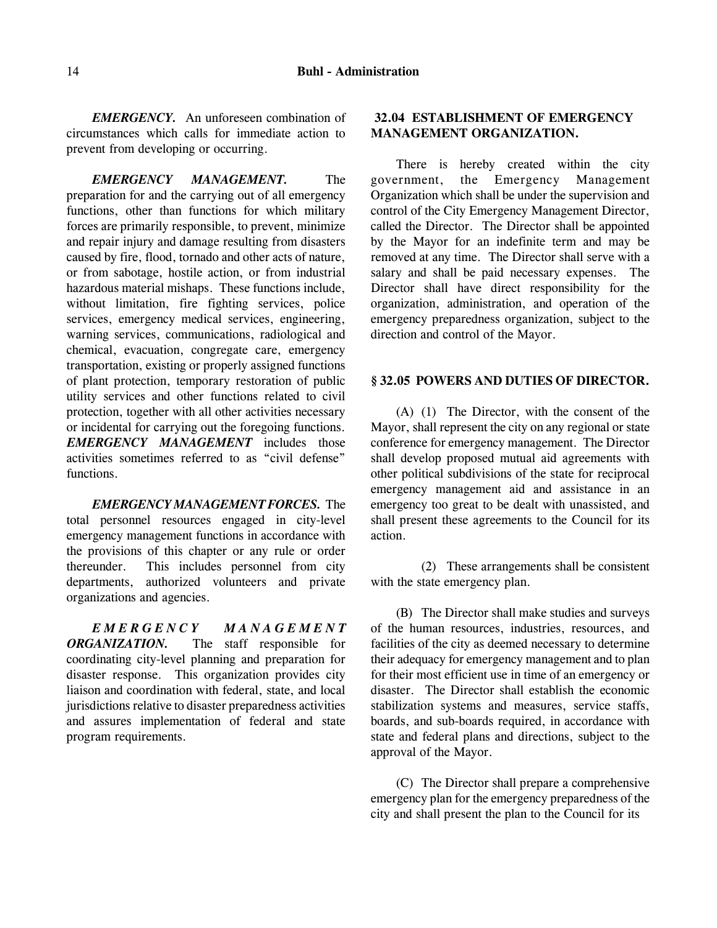*EMERGENCY.* An unforeseen combination of circumstances which calls for immediate action to prevent from developing or occurring.

*EMERGENCY MANAGEMENT.* The preparation for and the carrying out of all emergency functions, other than functions for which military forces are primarily responsible, to prevent, minimize and repair injury and damage resulting from disasters caused by fire, flood, tornado and other acts of nature, or from sabotage, hostile action, or from industrial hazardous material mishaps. These functions include, without limitation, fire fighting services, police services, emergency medical services, engineering, warning services, communications, radiological and chemical, evacuation, congregate care, emergency transportation, existing or properly assigned functions of plant protection, temporary restoration of public utility services and other functions related to civil protection, together with all other activities necessary or incidental for carrying out the foregoing functions. *EMERGENCY MANAGEMENT* includes those activities sometimes referred to as "civil defense" functions.

*EMERGENCY MANAGEMENT FORCES.* The total personnel resources engaged in city-level emergency management functions in accordance with the provisions of this chapter or any rule or order thereunder. This includes personnel from city departments, authorized volunteers and private organizations and agencies.

*EMERGENCY MANAGEMENT ORGANIZATION.* The staff responsible for coordinating city-level planning and preparation for disaster response. This organization provides city liaison and coordination with federal, state, and local jurisdictions relative to disaster preparedness activities and assures implementation of federal and state program requirements.

# **32.04 ESTABLISHMENT OF EMERGENCY MANAGEMENT ORGANIZATION.**

There is hereby created within the city government, the Emergency Management Organization which shall be under the supervision and control of the City Emergency Management Director, called the Director. The Director shall be appointed by the Mayor for an indefinite term and may be removed at any time. The Director shall serve with a salary and shall be paid necessary expenses. The Director shall have direct responsibility for the organization, administration, and operation of the emergency preparedness organization, subject to the direction and control of the Mayor.

### **§ 32.05 POWERS AND DUTIES OF DIRECTOR.**

(A) (1) The Director, with the consent of the Mayor, shall represent the city on any regional or state conference for emergency management. The Director shall develop proposed mutual aid agreements with other political subdivisions of the state for reciprocal emergency management aid and assistance in an emergency too great to be dealt with unassisted, and shall present these agreements to the Council for its action.

(2) These arrangements shall be consistent with the state emergency plan.

(B) The Director shall make studies and surveys of the human resources, industries, resources, and facilities of the city as deemed necessary to determine their adequacy for emergency management and to plan for their most efficient use in time of an emergency or disaster. The Director shall establish the economic stabilization systems and measures, service staffs, boards, and sub-boards required, in accordance with state and federal plans and directions, subject to the approval of the Mayor.

(C) The Director shall prepare a comprehensive emergency plan for the emergency preparedness of the city and shall present the plan to the Council for its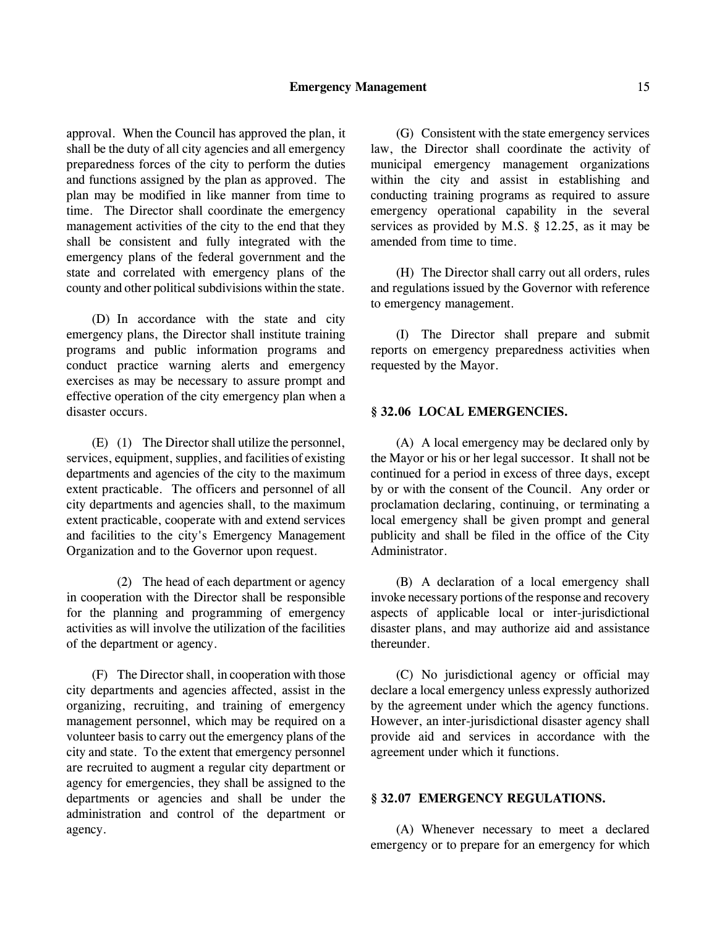### **Emergency Management** 15

approval. When the Council has approved the plan, it shall be the duty of all city agencies and all emergency preparedness forces of the city to perform the duties and functions assigned by the plan as approved. The plan may be modified in like manner from time to time. The Director shall coordinate the emergency management activities of the city to the end that they shall be consistent and fully integrated with the emergency plans of the federal government and the state and correlated with emergency plans of the county and other political subdivisions within the state.

(D) In accordance with the state and city emergency plans, the Director shall institute training programs and public information programs and conduct practice warning alerts and emergency exercises as may be necessary to assure prompt and effective operation of the city emergency plan when a disaster occurs.

(E) (1) The Director shall utilize the personnel, services, equipment, supplies, and facilities of existing departments and agencies of the city to the maximum extent practicable. The officers and personnel of all city departments and agencies shall, to the maximum extent practicable, cooperate with and extend services and facilities to the city's Emergency Management Organization and to the Governor upon request.

(2) The head of each department or agency in cooperation with the Director shall be responsible for the planning and programming of emergency activities as will involve the utilization of the facilities of the department or agency.

(F) The Director shall, in cooperation with those city departments and agencies affected, assist in the organizing, recruiting, and training of emergency management personnel, which may be required on a volunteer basis to carry out the emergency plans of the city and state. To the extent that emergency personnel are recruited to augment a regular city department or agency for emergencies, they shall be assigned to the departments or agencies and shall be under the administration and control of the department or agency.

(G) Consistent with the state emergency services law, the Director shall coordinate the activity of municipal emergency management organizations within the city and assist in establishing and conducting training programs as required to assure emergency operational capability in the several services as provided by M.S. § 12.25, as it may be amended from time to time.

(H) The Director shall carry out all orders, rules and regulations issued by the Governor with reference to emergency management.

(I) The Director shall prepare and submit reports on emergency preparedness activities when requested by the Mayor.

### **§ 32.06 LOCAL EMERGENCIES.**

(A) A local emergency may be declared only by the Mayor or his or her legal successor. It shall not be continued for a period in excess of three days, except by or with the consent of the Council. Any order or proclamation declaring, continuing, or terminating a local emergency shall be given prompt and general publicity and shall be filed in the office of the City Administrator.

(B) A declaration of a local emergency shall invoke necessary portions of the response and recovery aspects of applicable local or inter-jurisdictional disaster plans, and may authorize aid and assistance thereunder.

(C) No jurisdictional agency or official may declare a local emergency unless expressly authorized by the agreement under which the agency functions. However, an inter-jurisdictional disaster agency shall provide aid and services in accordance with the agreement under which it functions.

### **§ 32.07 EMERGENCY REGULATIONS.**

(A) Whenever necessary to meet a declared emergency or to prepare for an emergency for which